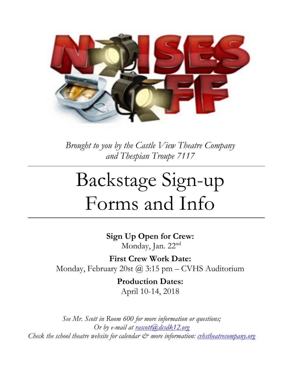

*Brought to you by the Castle View Theatre Company and Thespian Troupe 7117*

# Backstage Sign-up Forms and Info

**Sign Up Open for Crew:** Monday, Jan. 22nd

**First Crew Work Date:** Monday, February 20st @ 3:15 pm – CVHS Auditorium

> **Production Dates:** April 10-14, 2018

*See Mr. Scott in Room 600 for more information or questions; Or by e-mail at rascott*(a)*dcsdk12.org Check the school theatre website for calendar*  $\mathcal{C}^*$  *more information: cvhstheatrecompany.org*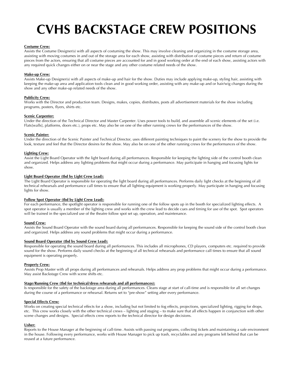## **CVHS BACKSTAGE CREW POSITIONS**

#### **Costume Crew:**

Assists the Costume Designer(s) with all aspects of costuming the show. This may involve cleaning and organizing in the costume storage area, assisting with moving costumes in and out of the storage area for each show, assisting with distribution of costume pieces and return of costume pieces from the actors, ensuring that all costume pieces are accounted for and in good working order at the end of each show, assisting actors with any required quick changes either on or near the stage and any other costume related needs of the show.

#### **Make-up Crew:**

Assists Make-up Designer(s) with all aspects of make-up and hair for the show. Duties may include applying make-up, styling hair, assisting with keeping the make-up area and application tools clean and in good working order, assisting with any make-up and or hair/wig changes during the show and any other make-up related needs of the show.

#### **Publicity Crew:**

Works with the Director and production team. Designs, makes, copies, distributes, posts all advertisement materials for the show including programs, posters, flyers, shirts etc.

#### **Scenic Carpenter:**

Under the direction of the Technical Director and Master Carpenter. Uses power tools to build, and assemble all scenic elements of the set (i.e. Flats[walls], platforms, doors etc.), props etc. May also be on one of the other running crews for the performances of the show.

#### **Scenic Painter:**

Under the direction of the Scenic Painter and Technical Director, uses different painting techniques to paint the scenery for the show to provide the look, texture and feel that the Director desires for the show. May also be on one of the other running crews for the performances of the show.

#### **Lighting Crew:**

Assist the Light Board Operator with the light board during all performances. Responsible for keeping the lighting side of the control booth clean and organized. Helps address any lighting problems that might occur during a performance. May participate in hanging and focusing lights for show.

#### **Light Board Operator (tbd by Light Crew Lead):**

The Light Board Operator is responsible for operating the light board during all performances. Performs daily light checks at the beginning of all technical rehearsals and performance call times to ensure that all lighting equipment is working properly. May participate in hanging and focusing lights for show.

#### **Follow Spot Operator (tbd by Light Crew Lead):**

For each performance, the spotlight operator is responsible for running one of the follow spots up in the booth for specialized lighting effects. A spot operator is usually a member of the lighting crew and works with the crew lead to decide cues and timing for use of the spot. Spot operators will be trained in the specialized use of the theatre follow spot set up, operation, and maintenance.

#### **Sound Crew:**

Assists the Sound Board Operator with the sound board during all performances. Responsible for keeping the sound side of the control booth clean and organized. Helps address any sound problems that might occur during a performance.

#### **Sound Board Operator (tbd by Sound Crew Lead):**

Responsible for operating the sound board during all performances. This includes all microphones, CD players, computers etc. required to provide sound for the show. Performs daily sound checks at the beginning of all technical rehearsals and performance call times to ensure that all sound equipment is operating properly.

#### **Property Crew:**

Assists Prop Master with all props during all performances and rehearsals. Helps address any prop problems that might occur during a performance. May assist Backstage Crew with scene shifts etc.

#### **Stage/Running Crew (tbd for technical/dress rehearsals and all performances):**

Is responsible for the safety of the backstage area during all performances. Cleans stage at start of call-time and is responsible for all set changes during the course of a performance or rehearsal. Returns set to "pre-show" setting after every performance.

#### **Special Effects Crew:**

Works on creating special technical effects for a show, including but not limited to fog effects, projections, specialized lighting, rigging for drops, etc. This crew works closely with the other technical crews – lighting and staging – to make sure that all effects happen in conjunction with other scene changes and designs. Special effects crew reports to the technical director for design decisions.

#### **Usher:**

Reports to the House Manager at the beginning of call-time. Assists with passing out programs, collecting tickets and maintaining a safe environment in the house. Following every performance, works with House Manager to pick up trash, recyclables and any programs left behind that can be reused at a future performance.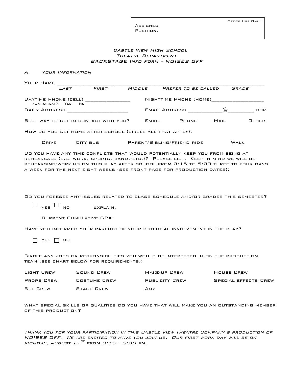Assigned Position:

#### Castle View High School Theatre Department BACKSTAGE Info Form – NOISES OFF

A. Your Information

| YOUR NAME                                   |                                                                                                                                                                                                                                                                                                                                 |       |                            |      |                             |
|---------------------------------------------|---------------------------------------------------------------------------------------------------------------------------------------------------------------------------------------------------------------------------------------------------------------------------------------------------------------------------------|-------|----------------------------|------|-----------------------------|
| LAST                                        | FIRST                                                                                                                                                                                                                                                                                                                           |       | MIDDLE PREFER TO BE CALLED |      | GRADE                       |
| DAYTIME PHONE (CELL)<br>*OK TO TEXT? YES NO | <u> 1989 - Johann John Harry Harry Harry Harry Harry Harry Harry Harry Harry Harry Harry Harry Harry Harry Harry</u>                                                                                                                                                                                                            |       | NIGHTTIME PHONE (HOME)     |      |                             |
|                                             |                                                                                                                                                                                                                                                                                                                                 |       |                            |      | .com                        |
|                                             | BEST WAY TO GET IN CONTACT WITH YOU?                                                                                                                                                                                                                                                                                            | EMAIL | PHONE                      | MAIL | OTHER                       |
|                                             | HOW DO YOU GET HOME AFTER SCHOOL (CIRCLE ALL THAT APPLY):                                                                                                                                                                                                                                                                       |       |                            |      |                             |
| <b>DRIVE</b>                                | CITY BUS PARENT/SIBLING/FRIEND RIDE                                                                                                                                                                                                                                                                                             |       |                            |      | WALK                        |
|                                             | DO YOU HAVE ANY TIME CONFLICTS THAT WOULD POTENTIALLY KEEP YOU FROM BEING AT<br>REHEARSALS (E.G. WORK, SPORTS, BAND, ETC.)? PLEASE LIST. KEEP IN MIND WE WILL BE<br>REHEARSING/WORKING ON THIS PLAY AFTER SCHOOL FROM 3:15 TO 5:30 THREE TO FOUR DAYS<br>A WEEK FOR THE NEXT EIGHT WEEKS (SEE FRONT PAGE FOR PRODUCTION DATES): |       |                            |      |                             |
| YES<br>NO.                                  | DO YOU FORESEE ANY ISSUES RELATED TO CLASS SCHEDULE AND/OR GRADES THIS SEMESTER?<br>EXPLAIN.<br>CURRENT CUMULATIVE GPA:                                                                                                                                                                                                         |       |                            |      |                             |
|                                             | HAVE YOU INFORMED YOUR PARENTS OF YOUR POTENTIAL INVOLVEMENT IN THE PLAY?                                                                                                                                                                                                                                                       |       |                            |      |                             |
| YES<br>NO.                                  |                                                                                                                                                                                                                                                                                                                                 |       |                            |      |                             |
|                                             | CIRCLE ANY JOBS OR RESPONSIBILITIES YOU WOULD BE INTERESTED IN ON THE PRODUCTION<br>TEAM (SEE CHART BELOW FOR REQUIREMENTS):                                                                                                                                                                                                    |       |                            |      |                             |
|                                             | LIGHT CREW 50UND CREW MAKE-UP CREW HOUSE CREW                                                                                                                                                                                                                                                                                   |       |                            |      |                             |
| PROPS CREW COSTUME CREW                     |                                                                                                                                                                                                                                                                                                                                 |       | PUBLICITY CREW             |      | <b>SPECIAL EFFECTS CREW</b> |
| SET CREW                                    | STAGE CREW                                                                                                                                                                                                                                                                                                                      | ANY   |                            |      |                             |
| OF THIS PRODUCTION?                         | WHAT SPECIAL SKILLS OR QUALITIES DO YOU HAVE THAT WILL MAKE YOU AN OUTSTANDING MEMBER                                                                                                                                                                                                                                           |       |                            |      |                             |

Thank you for your participation in this Castle View Theatre Company's production of NOISES OFF. We are excited to have you join us. Our first work day will be on Monday, August 21 $^{ST}$  from 3:15 – 5:30 pm.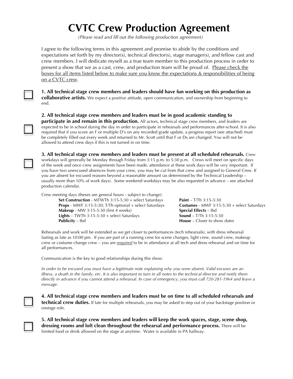### **CVTC Crew Production Agreement**

*(Please read and fill out the following production agreement)*

I agree to the following terms in this agreement and promise to abide by the conditions and expectations set forth by my director(s), technical director(s), stage manager(s), and fellow cast and crew members. I will dedicate myself as a true team member to this production process in order to present a show that we as a cast, crew, and production team will be proud of. Please check the boxes for all items listed below to make sure you know the expectations & responsibilities of being on a CVTC crew.



**1. All technical stage crew members and leaders should have fun working on this production as collaborative artists.** We expect a positive attitude, open communication, and ownership from beginning to end.

**2. All technical stage crew members and leaders must be in good academic standing to** 

**participate in and remain in this production.** All actors, technical stage crew members, and leaders are expected to be in school during the day in order to participate in rehearsals and performances after-school. It is also required that if you score an F or multiple D's on any recorded grade update, a progress report (see attached) must be completely filled out every week and returned to Mr. Scott until that F or Ds are changed. You will not be allowed to attend crew days if this is not turned in on time.

**3. All technical stage crew members and leaders must be present at all scheduled rehearsals.** Crew workdays will generally be Monday through Friday from 3:15 p.m. to 5:30 p.m. Crews will meet on specific days of the week and once crew assignments have been made, attendance at these work days will be *very* important. If you have two unexcused absences from your crew, you may be cut from that crew and assigned to General Crew. If you are absent for excused reasons beyond a reasonable amount (as determined by the Technical Leadership – usually more than 10% of work days). Some weekend workdays may be also requested in advance – see attached production calendar.

Crew meeting days (theses are general hours - subject to change): **Set Construction** - MTWTh 3:15-5:30 + select Saturdays **Paint** – T/Th 3:15-5:30 **Props** - MWF 3:15-5:30; T/Th optional + select Saturdays **Costumes** - MWF 3:15-5:30 + select Saturdays **Makeup** - MW 3:15-5:30 (first 4 weeks) **Special Effects** – tbd **Lights** – TWTh 3:15-5:30 + select Saturdays **Sound** – T/Th 3:15-5:30

**Publicity** – tbd **House** – Closer to show dates

Rehearsals and work will be extended as we get closer to performances (tech rehearsals), with dress rehearsal lasting as late as 10:00 pm. If you are part of a running crew for scene changes, light crew, sound crew, makeup crew or costume change crew – you are *required* to be in attendance at all tech and dress rehearsal and on time for all performances.

Communication is the key to good relationships during this show:

*In order to be excused you must have a legitimate note explaining why you were absent. Valid excuses are an illness, a death in the family, etc. It is also important to turn in all notes to the technical director and notify them directly in advance if you cannot attend a rehearsal. In case of emergency, you must call 720-281-1964 and leave a message.*

**4. All technical stage crew members and leaders must be on time to all scheduled rehearsals and technical crew duties.** If late for multiple rehearsals, you may be asked to step out of your backstage position or onstage role.

**5. All technical stage crew members and leaders will keep the work spaces, stage, scene shop, dressing rooms and loft clean throughout the rehearsal and performance process.** There will be limited food or drink allowed on the stage at anytime. Water is available in PA hallway.